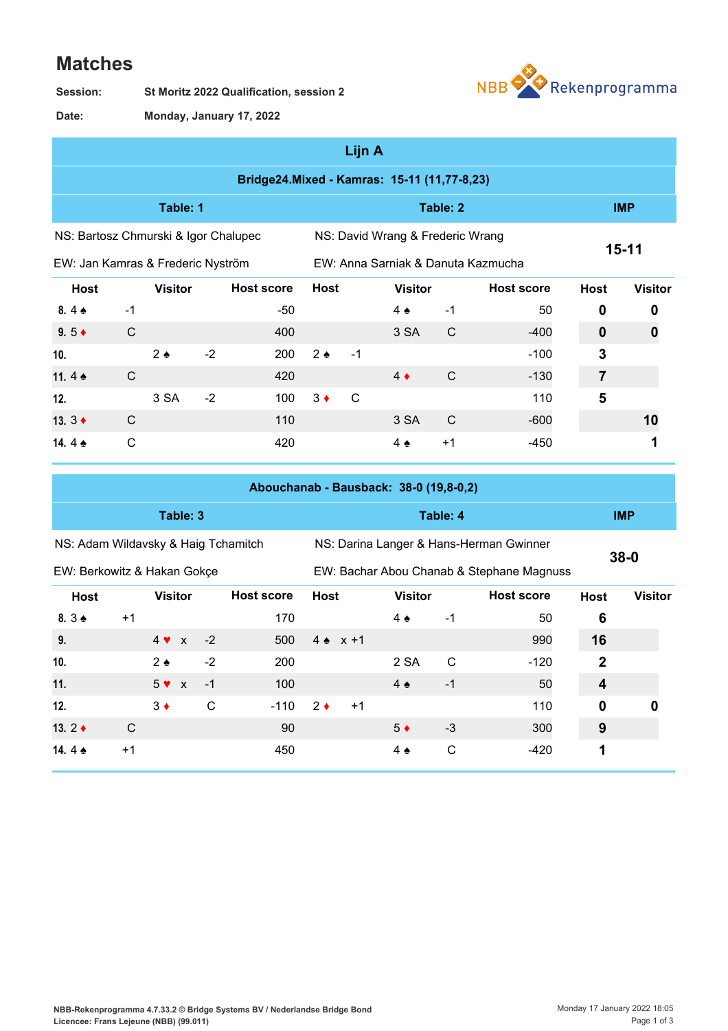## **Matches**

**St Moritz 2022 Qualification, session 2 Session:**



**Monday, January 17, 2022 Date:**

|                                                                          |              |                |      |                                             |               | Lijn A |                                    |              |                   |             |                |
|--------------------------------------------------------------------------|--------------|----------------|------|---------------------------------------------|---------------|--------|------------------------------------|--------------|-------------------|-------------|----------------|
|                                                                          |              |                |      | Bridge24.Mixed - Kamras: 15-11 (11,77-8,23) |               |        |                                    |              |                   |             |                |
| Table: 1                                                                 |              |                |      |                                             |               |        | Table: 2                           |              | <b>IMP</b>        |             |                |
| NS: Bartosz Chmurski & Igor Chalupec<br>NS: David Wrang & Frederic Wrang |              |                |      |                                             |               |        |                                    |              |                   |             |                |
| EW: Jan Kamras & Frederic Nyström                                        |              |                |      |                                             |               |        | EW: Anna Sarniak & Danuta Kazmucha |              |                   | $15 - 11$   |                |
| <b>Host</b>                                                              |              | <b>Visitor</b> |      | <b>Host score</b>                           | <b>Host</b>   |        | <b>Visitor</b>                     |              | <b>Host score</b> | <b>Host</b> | <b>Visitor</b> |
| 8.4 $\triangle$                                                          | $-1$         |                |      | -50                                         |               |        | $4 \triangle$                      | $-1$         | 50                | 0           | 0              |
| $9.5 \triangleleft$                                                      | $\mathsf{C}$ |                |      | 400                                         |               |        | 3 SA                               | $\mathsf{C}$ | $-400$            | $\mathbf 0$ | 0              |
| 10.                                                                      |              | $2 \triangle$  | $-2$ | 200                                         | $2 \triangle$ | $-1$   |                                    |              | $-100$            | 3           |                |
| 11.4 $\triangle$                                                         | C            |                |      | 420                                         |               |        | $4 \bullet$                        | C            | $-130$            | 7           |                |
| 12.                                                                      |              | 3 SA           | $-2$ | 100                                         | $3 \bullet$   | C      |                                    |              | 110               | 5           |                |
| 13. $3 +$                                                                | C            |                |      | 110                                         |               |        | 3 SA                               | C            | $-600$            |             | 10             |
| 14.4 $\triangle$                                                         | C            |                |      | 420                                         |               |        | $4 \triangle$                      | $+1$         | -450              |             |                |

|                                     |      |                |  |      | Abouchanab - Bausback: 38-0 (19,8-0,2) |             |                 |  |                   |                                           |                                         |              |                |  |
|-------------------------------------|------|----------------|--|------|----------------------------------------|-------------|-----------------|--|-------------------|-------------------------------------------|-----------------------------------------|--------------|----------------|--|
| Table: 3                            |      |                |  |      |                                        |             | Table: 4        |  |                   |                                           |                                         |              | <b>IMP</b>     |  |
| NS: Adam Wildavsky & Haig Tchamitch |      |                |  |      |                                        |             |                 |  |                   |                                           | NS: Darina Langer & Hans-Herman Gwinner | $38 - 0$     |                |  |
| EW: Berkowitz & Hakan Gokçe         |      |                |  |      |                                        |             |                 |  |                   | EW: Bachar Abou Chanab & Stephane Magnuss |                                         |              |                |  |
| <b>Host</b>                         |      | <b>Visitor</b> |  |      | <b>Host score</b>                      | <b>Host</b> |                 |  | <b>Visitor</b>    |                                           | <b>Host score</b>                       | <b>Host</b>  | <b>Visitor</b> |  |
| $8.3 \triangle$                     | $+1$ |                |  |      | 170                                    |             |                 |  | $4 \triangle$     | $-1$                                      | 50                                      | 6            |                |  |
| 9.                                  |      | $4 \vee x$     |  | $-2$ | 500                                    |             | $4 \cdot x + 1$ |  |                   |                                           | 990                                     | 16           |                |  |
| 10.                                 |      | $2 \triangle$  |  | $-2$ | 200                                    |             |                 |  | 2 SA              | C                                         | $-120$                                  | $\mathbf{2}$ |                |  |
| 11.                                 |      | $5 \vee x$     |  | $-1$ | 100                                    |             |                 |  | $4 \triangleleft$ | $-1$                                      | 50                                      | 4            |                |  |
| 12.                                 |      | $3 \bullet$    |  | C    | $-110$                                 | $2 \bullet$ | $+1$            |  |                   |                                           | 110                                     | 0            | O              |  |
| 13. $2 \triangleleft$               | C    |                |  |      | 90                                     |             |                 |  | $5 \bullet$       | $-3$                                      | 300                                     | 9            |                |  |
| 14.4 $\bullet$                      | $+1$ |                |  |      | 450                                    |             |                 |  | 4 $\triangle$     | C                                         | $-420$                                  | 1            |                |  |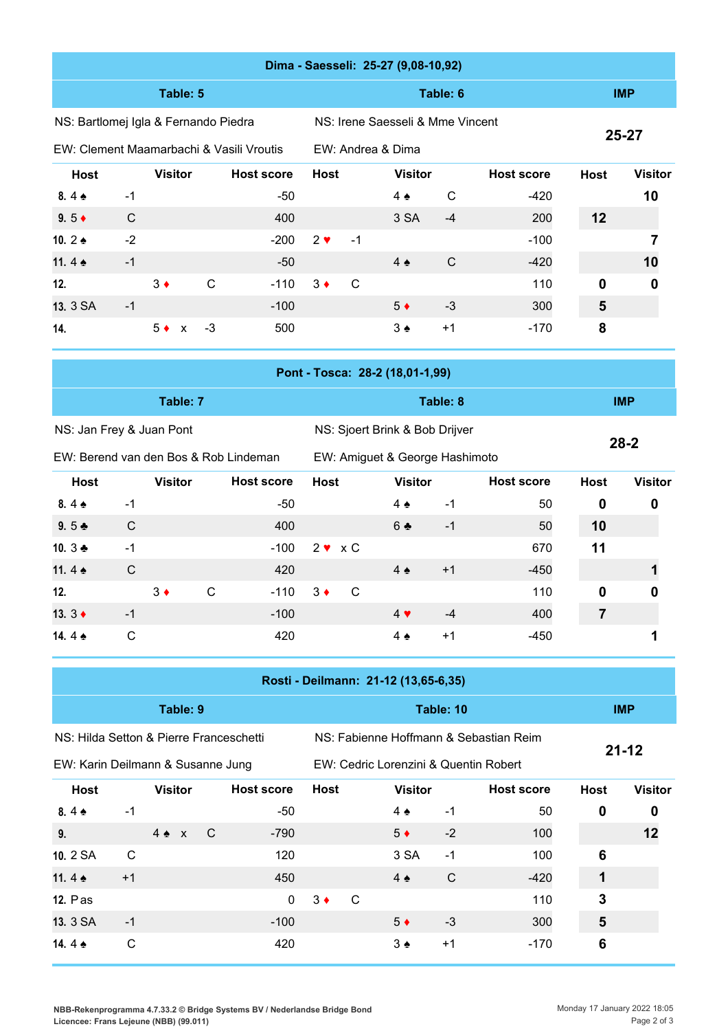|                                          |              |                |              |                   |              |                                                    | Dima - Saesseli: 25-27 (9,08-10,92)  |             |                   |                |                |
|------------------------------------------|--------------|----------------|--------------|-------------------|--------------|----------------------------------------------------|--------------------------------------|-------------|-------------------|----------------|----------------|
|                                          |              | Table: 5       |              |                   |              |                                                    | <b>IMP</b>                           |             |                   |                |                |
| NS: Bartlomej Igla & Fernando Piedra     |              |                |              |                   |              | NS: Irene Saesseli & Mme Vincent                   |                                      |             |                   |                |                |
| EW: Clement Maamarbachi & Vasili Vroutis |              |                |              |                   |              |                                                    | EW: Andrea & Dima                    |             |                   | 25-27          |                |
| <b>Host</b>                              |              | <b>Visitor</b> |              | <b>Host score</b> |              | <b>Host</b><br><b>Visitor</b><br><b>Host score</b> |                                      |             | <b>Host</b>       | <b>Visitor</b> |                |
| $8.4*$                                   | $-1$         |                |              | $-50$             |              |                                                    | $4 \triangle$                        | $\mathbf C$ | $-420$            |                | 10             |
| 9.5 $\triangleleft$                      | $\mathsf{C}$ |                |              | 400               |              |                                                    | 3 SA                                 | $-4$        | 200               | 12             |                |
| 10.2 $\triangle$                         | $-2$         |                |              | $-200$            | $2 \vee$     | $-1$                                               |                                      |             | $-100$            |                | 7              |
| 11.4 $\triangle$                         | $-1$         |                |              | $-50$             |              |                                                    | $4 \triangle$                        | $\mathsf C$ | $-420$            |                | 10             |
| 12.                                      |              | $3 \bullet$    | $\mathsf{C}$ | $-110$            | $3 \bullet$  | $\mathsf C$                                        |                                      |             | 110               | $\mathbf 0$    | 0              |
| 13. 3 SA                                 | $-1$         |                |              | $-100$            |              |                                                    | $5*$                                 | $-3$        | 300               | $5\phantom{1}$ |                |
| 14.                                      |              | $5 \bullet x$  | $-3$         | 500               |              |                                                    | $3 \triangle$                        | $+1$        | $-170$            | 8              |                |
| Pont - Tosca: 28-2 (18,01-1,99)          |              |                |              |                   |              |                                                    |                                      |             |                   |                |                |
|                                          |              |                |              |                   |              |                                                    |                                      |             |                   |                |                |
|                                          |              | Table: 7       |              |                   |              |                                                    |                                      | Table: 8    |                   |                | <b>IMP</b>     |
| NS: Jan Frey & Juan Pont                 |              |                |              |                   |              |                                                    | NS: Sjoert Brink & Bob Drijver       |             |                   |                |                |
| EW: Berend van den Bos & Rob Lindeman    |              |                |              |                   |              |                                                    | EW: Amiguet & George Hashimoto       |             |                   |                | $28 - 2$       |
| <b>Host</b>                              |              | <b>Visitor</b> |              | <b>Host score</b> | <b>Host</b>  |                                                    | <b>Visitor</b>                       |             | <b>Host score</b> | <b>Host</b>    | <b>Visitor</b> |
| 8.4 $\triangle$                          | $-1$         |                |              | $-50$             |              |                                                    | $4 \triangle$                        | $-1$        | 50                | 0              | 0              |
| $9.5 +$                                  | $\mathsf C$  |                |              | 400               |              |                                                    | 6 ♣                                  | $-1$        | 50                | 10             |                |
| 10. 3 ₺                                  | $-1$         |                |              | $-100$            | $2 \vee x C$ |                                                    |                                      |             | 670               | 11             |                |
| 11.4 $\triangle$                         | $\mathsf C$  |                |              | 420               |              |                                                    | $4 \triangle$                        | $+1$        | $-450$            |                | 1              |
| 12.                                      |              | $3 \bullet$    | C            | $-110$            | $3 +$        | $\mathbf C$                                        |                                      |             | 110               | $\pmb{0}$      |                |
| 13. $3 +$                                | $-1$         |                |              | $-100$            |              |                                                    | $4 \blacktriangledown$               | $-4$        | 400               | $\overline{7}$ |                |
| 14.4 $\triangle$                         | $\mathsf C$  |                |              | 420               |              |                                                    | $4 \triangle$                        | $+1$        | $-450$            |                | 1              |
|                                          |              |                |              |                   |              |                                                    | Rosti - Deilmann: 21-12 (13,65-6,35) |             |                   |                |                |

NS: Hilda Setton & Pierre Franceschetti

EW: Karin Deilmann & Susanne Jung

NS: Fabienne Hoffmann & Sebastian Reim

**21-12**

| EW: Karin Deilmann & Susanne Jung |      |                |     |                   |             |   | EW: Cedric Lorenzini & Quentin Robert |      | - - - -           |             |                |
|-----------------------------------|------|----------------|-----|-------------------|-------------|---|---------------------------------------|------|-------------------|-------------|----------------|
| <b>Host</b>                       |      | <b>Visitor</b> |     | <b>Host score</b> | <b>Host</b> |   | <b>Visitor</b>                        |      | <b>Host score</b> | <b>Host</b> | <b>Visitor</b> |
| 8.4 $\triangle$                   | -1   |                |     | -50               |             |   | $4 \triangle$                         | $-1$ | 50                | 0           | 0              |
| 9.                                |      | $4 \cdot x$    | - C | $-790$            |             |   | $5*$                                  | $-2$ | 100               |             | 12             |
| 10. 2 SA                          | C    |                |     | 120               |             |   | 3 SA                                  | $-1$ | 100               | 6           |                |
| 11.4 $\bullet$                    | $+1$ |                |     | 450               |             |   | $4 \triangle$                         | C    | $-420$            |             |                |
| <b>12. Pas</b>                    |      |                |     | $\mathbf{0}$      | $3 \bullet$ | C |                                       |      | 110               | 3           |                |
| 13. 3 SA                          | $-1$ |                |     | $-100$            |             |   | $5^{\bullet}$                         | $-3$ | 300               | 5           |                |
| 14.4 $\triangle$                  | C    |                |     | 420               |             |   | $3 \triangleleft$                     | $+1$ | $-170$            | 6           |                |